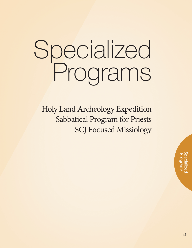# Specialized Programs

Holy Land Archeology Expedition Sabbatical Program for Priests SCJ Focused Missiology

45Specialized Programs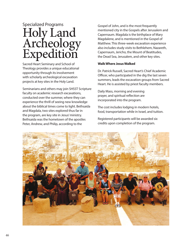## Specialized Programs Holy Land Archeology Expedition

Sacred Heart Seminary and School of Theology provides a unique educational opportunity through its involvement with scholarly archeological excavation projects at key sites in the Holy Land.

Seminarians and others may join SHSST Scripture faculty on academic research excavations, conducted over the summer, where they can experience the thrill of seeing new knowledge about the biblical times come to light. Bethsaida and Magdala, two sites explored thus far in the program, are key site in Jesus' ministry. Bethsaida was the hometown of the apostles Peter, Andrew, and Philip, according to the

Gospel of John, and is the most frequently mentioned city in the Gospels after Jerusalem and Capernaum. Magdala is the birthplace of Mary Magdalene, and is mentioned in the Gospel of Matthew. This three-week excavation experience also includes study visits to Bethlehem, Nazareth, Capernaum, Jericho, the Mount of Beatitudes, the Dead Sea, Jerusalem, and other key sites.

#### **Walk Where Jesus Walked**

Dr. Patrick Russell, Sacred Heart's Chief Academic Officer, who participated in the dig the last seven summers, leads the excavation groups from Sacred Heart. He is assisted by priest faculty members.

Daily Mass, morning and evening prayer, and spiritual reflection are incorporated into the program.

The cost includes lodging in modern hotels, food, transportation while in Israel, and tuition.

Registered participants will be awarded six credits upon completion of the program.

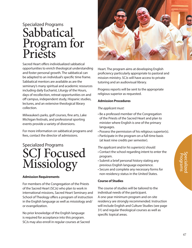## Specialized Programs Sabbatical Program for Priests

Sacred Heart offers individualized sabbatical opportunities to enrich theological understanding and foster personal growth. The sabbatical can be adapted to an individual's specific time frame. Sabbatical mentors are available as are the seminary's many spiritual and academic resources including daily Eucharist, Liturgy of the Hours, days of recollection, retreat opportunities on and off campus, independent study, Hispanic studies, lectures, and an extensive theological library collection.

Milwaukee's parks, golf courses, fine arts, Lake Michigan festivals, and professional sporting events provide a variety of diversions.

For more information on sabbatical programs and fees, contact the director of admissions.

### Specialized Programs SCJ Focused Missiology

#### **Admission Requirements**

For members of the Congregation of the Priests of the Sacred Heart (SCJs) who plan to work in international missions, Sacred Heart Seminary and School of Theology offers a program of instruction in the English language as well as missiology and/ or evangelization.

No prior knowledge of the English language is required for acceptance into this program. SCJs may also enroll in regular courses at Sacred



Heart. The program aims at developing English proficiency particularly appropriate to pastoral and mission ministry. SCJs will have access to private tutoring and an audiovisual library.

Progress reports will be sent to the appropriate religious superior as requested.

#### **Admission Procedures**

#### *The applicant must:*

- Be a professed member of the Congregation of the Priests of the Sacred Heart and plan to minister where English is one of the primary languages.
- Possess the permission of his religious superior(s).
- Participate in the program on a full-time basis (at least nine credits per semester).

#### *The applicant and/or his superior(s) should:*

- Contact the school regarding intent to enter the program.
- Submit a brief personal history stating any previous English language experience.
- Secure and complete any necessary forms for non-residency status in the United States.

#### **Course of Studies**

The course of studies will be tailored to the individual needs of the participant. A one-year minimum program and on-site residency are strongly recommended. Instruction will include English and Culture Studies (see page 31) and regular theological courses as well as specific topical areas.